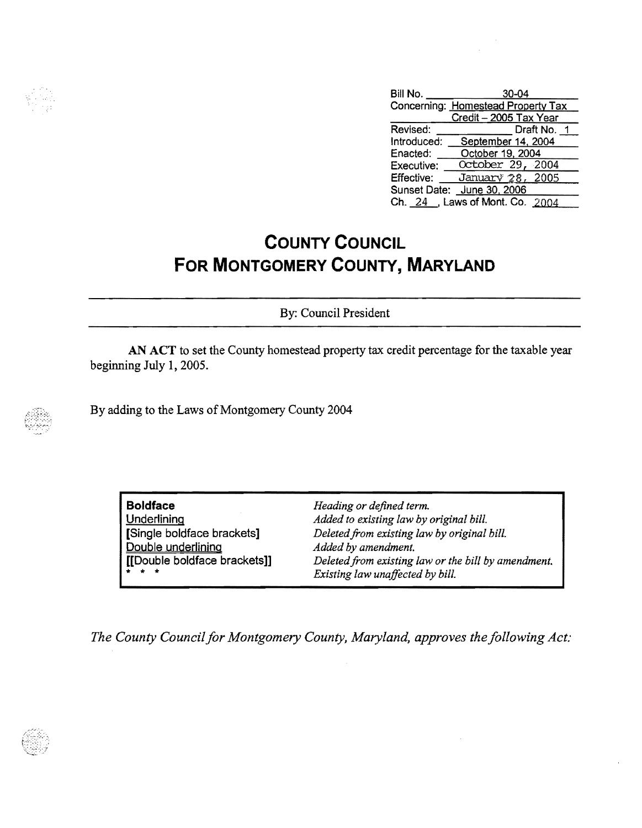

| Bill No.    | $30 - 04$                          |
|-------------|------------------------------------|
|             | Concerning: Homestead Property Tax |
|             | Credit - 2005 Tax Year             |
| Revised:    | Draft No. 1                        |
| Introduced: | September 14, 2004                 |
| Enacted:    | October 19, 2004                   |
| Executive:  | October 29, 2004                   |
| Effective:  | January 28, 2005                   |
|             | Sunset Date: June 30, 2006         |
|             | Ch. 24 , Laws of Mont. Co. 2004    |

## **COUNTY COUNCIL FOR MONTGOMERY COUNTY, MARYLAND**

By: Council President

AN ACT to set the County homestead property tax credit percentage for the taxable year beginning July 1, 2005.

By adding to the Laws of Montgomery County 2004

| <b>Boldface</b>              | Heading or defined term.                            |
|------------------------------|-----------------------------------------------------|
| <b>Underlining</b>           | Added to existing law by original bill.             |
| [Single boldface brackets]   | Deleted from existing law by original bill.         |
| Double underlining           | Added by amendment.                                 |
| [[Double boldface brackets]] | Deleted from existing law or the bill by amendment. |
| $\frac{1}{2}$ $\frac{1}{2}$  | Existing law unaffected by bill.                    |

*The County Council for Montgomery County, Maryland, approves the following Act:*